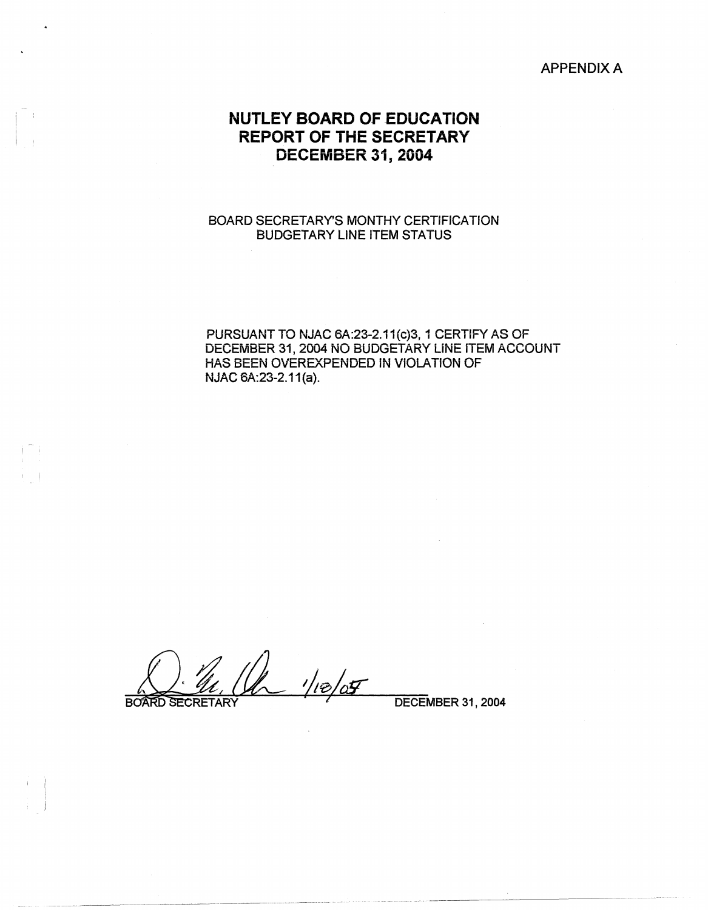## APPENDIX A

# **NUTLEY SOARD OF EDUCATION REPORT OF THE SECRETARY DECEMBER 31, 2004**

## BOARD SECRETARY'S MONTHY CERTiFiCATION BUDGETARY LINE ITEM STATUS

PURSUANT TO NJAC 6A:23-2.11(c)3, 1 CERTIFY AS OF DECEMBER 31, 2004 NO BUDGETARY LINE ITEM ACCOUNT HAS BEEN OVEREXPENDED IN VIOLATION OF NJAC 6A:23-2.11(a).

 $1/e/27$ 

**BOARD SECRETARY** 

~---~-----~-- ---~· ---~-- --------··-

DECEMBER 31, 2004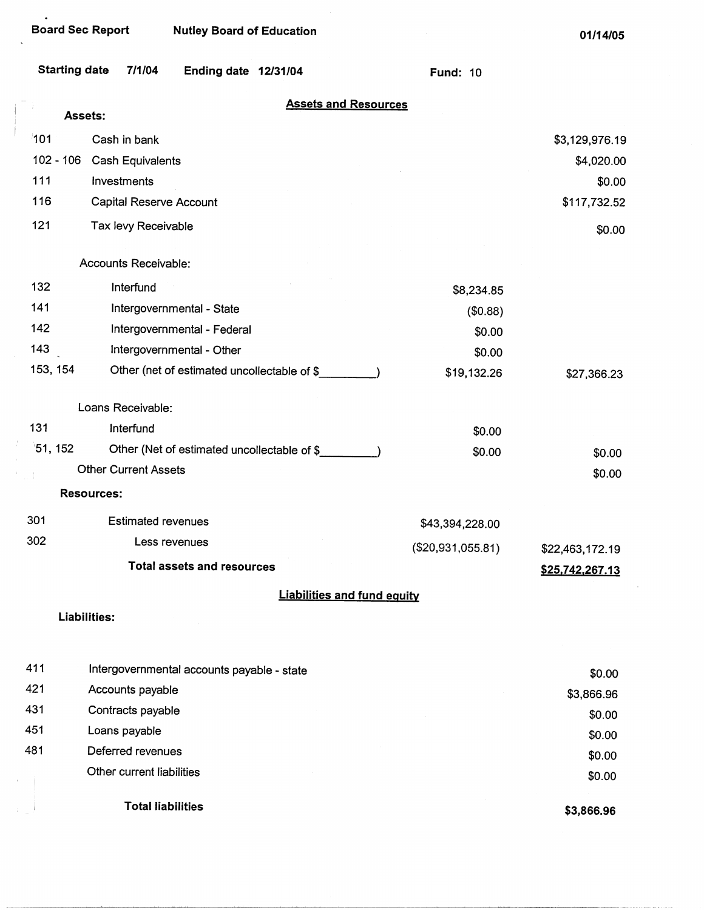$\ddot{\phantom{a}}$ 

|             | <b>Starting date</b> | 7/1/04                         | Ending date 12/31/04                        |                                    | <b>Fund: 10</b>   |                 |
|-------------|----------------------|--------------------------------|---------------------------------------------|------------------------------------|-------------------|-----------------|
|             | Assets:              |                                |                                             | <b>Assets and Resources</b>        |                   |                 |
| 101         |                      | Cash in bank                   |                                             |                                    |                   | \$3,129,976.19  |
| $102 - 106$ |                      | Cash Equivalents               |                                             |                                    |                   | \$4,020.00      |
| 111         |                      | Investments                    |                                             |                                    |                   | \$0.00          |
| 116         |                      | <b>Capital Reserve Account</b> |                                             |                                    |                   | \$117,732.52    |
| 121         |                      | Tax levy Receivable            |                                             |                                    |                   | \$0.00          |
|             |                      |                                |                                             |                                    |                   |                 |
|             |                      | Accounts Receivable:           |                                             |                                    |                   |                 |
| 132         |                      | Interfund                      |                                             |                                    | \$8,234.85        |                 |
| 141         |                      |                                | Intergovernmental - State                   |                                    | (\$0.88)          |                 |
| 142         |                      |                                | Intergovernmental - Federal                 |                                    | \$0.00            |                 |
| 143         |                      |                                | Intergovernmental - Other                   |                                    | \$0.00            |                 |
| 153, 154    |                      |                                | Other (net of estimated uncollectable of \$ |                                    | \$19,132.26       | \$27,366.23     |
|             |                      | Loans Receivable:              |                                             |                                    |                   |                 |
| 131         |                      | Interfund                      |                                             |                                    | \$0.00            |                 |
| 51, 152     |                      |                                | Other (Net of estimated uncollectable of \$ |                                    | \$0.00            | \$0.00          |
|             |                      | <b>Other Current Assets</b>    |                                             |                                    |                   | \$0.00          |
|             | <b>Resources:</b>    |                                |                                             |                                    |                   |                 |
| 301         |                      | <b>Estimated revenues</b>      |                                             |                                    | \$43,394,228.00   |                 |
| 302         |                      | Less revenues                  |                                             |                                    | (\$20,931,055.81) | \$22,463,172.19 |
|             |                      |                                | <b>Total assets and resources</b>           |                                    |                   | \$25,742,267.13 |
|             |                      |                                |                                             | <b>Liabilities and fund equity</b> |                   |                 |
|             | Liabilities:         |                                |                                             |                                    |                   |                 |
|             |                      |                                |                                             |                                    |                   |                 |
| 411         |                      |                                | Intergovernmental accounts payable - state  |                                    |                   | \$0.00          |
| 421         |                      | Accounts payable               |                                             |                                    |                   | \$3,866.96      |
| 431         |                      | Contracts payable              |                                             |                                    |                   | \$0.00          |
| 451         |                      | Loans payable                  |                                             |                                    |                   | \$0.00          |

481 Deferred revenues Other current liabilities

Total liabilities

**\$3,866.96** 

\$0.00 \$0.00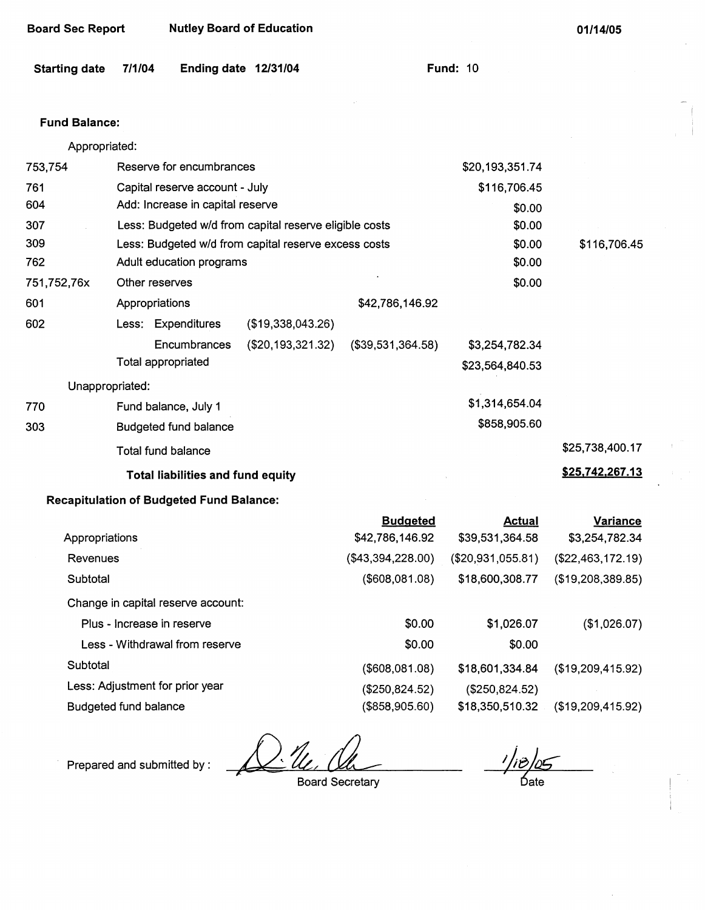| <b>Board Sec Report</b> | <b>Nutley Board of Education</b> |
|-------------------------|----------------------------------|
|-------------------------|----------------------------------|

| Starting date 7/1/04 |  | Ending date 12/31/04 |  | <b>Fund: 10</b> |  |
|----------------------|--|----------------------|--|-----------------|--|
|----------------------|--|----------------------|--|-----------------|--|

### **Fund Balance:**

| Appropriated:  |                 |                                                        |                   |                   |                   |                   |
|----------------|-----------------|--------------------------------------------------------|-------------------|-------------------|-------------------|-------------------|
| 753,754        |                 | Reserve for encumbrances                               |                   |                   | \$20,193,351.74   |                   |
| 761            |                 | Capital reserve account - July                         |                   |                   | \$116,706.45      |                   |
| 604            |                 | Add: Increase in capital reserve                       |                   |                   | \$0.00            |                   |
| 307            |                 | Less: Budgeted w/d from capital reserve eligible costs |                   |                   | \$0.00            |                   |
| 309            |                 | Less: Budgeted w/d from capital reserve excess costs   |                   |                   | \$0.00            | \$116,706.45      |
| 762            |                 | Adult education programs                               |                   |                   | \$0.00            |                   |
| 751,752,76x    |                 | Other reserves                                         |                   |                   | \$0.00            |                   |
| 601            |                 | Appropriations                                         |                   | \$42,786,146.92   |                   |                   |
| 602            |                 | Less: Expenditures                                     | (\$19,338,043.26) |                   |                   |                   |
|                |                 | Encumbrances                                           | (\$20,193,321.32) | (\$39,531,364.58) | \$3,254,782.34    |                   |
|                |                 | <b>Total appropriated</b>                              |                   |                   | \$23,564,840.53   |                   |
|                | Unappropriated: |                                                        |                   |                   |                   |                   |
| 770            |                 | Fund balance, July 1                                   |                   |                   | \$1,314,654.04    |                   |
| 303            |                 | <b>Budgeted fund balance</b>                           |                   |                   | \$858,905.60      |                   |
|                |                 | <b>Total fund balance</b>                              |                   |                   |                   | \$25,738,400.17   |
|                |                 | <b>Total liabilities and fund equity</b>               |                   |                   |                   | \$25,742,267.13   |
|                |                 | <b>Recapitulation of Budgeted Fund Balance:</b>        |                   |                   |                   |                   |
|                |                 |                                                        |                   | <b>Budgeted</b>   | <b>Actual</b>     | Variance          |
| Appropriations |                 |                                                        |                   | \$42,786,146.92   | \$39,531,364.58   | \$3,254,782.34    |
| Revenues       |                 |                                                        |                   | (\$43,394,228.00) | (\$20,931,055.81) | (\$22,463,172.19) |

**Subtotal** Change in capital reserve account: Plus - Increase in reserve Less - Withdrawal from reserve **Subtotal** Less: Adjustment for prior year Budgeted fund balance (\$608,081.08) \$0.00 \$0.00 (\$608,081.08) (\$250,824.52) (\$858,905.60) \$18,600,308.77 \$1,026.07 \$0.00 \$18,601,334.84 (\$250,824.52) \$18,350,510.32 (\$19,208,389.85) (\$1,026.07) {\$19,209,415.92) (\$19,209,415.92)

Prepared and submitted by:

Board Secretary

 $^{\prime}/\scriptstyle i\partial/\scriptstyle\varrho$ 

∵ Óat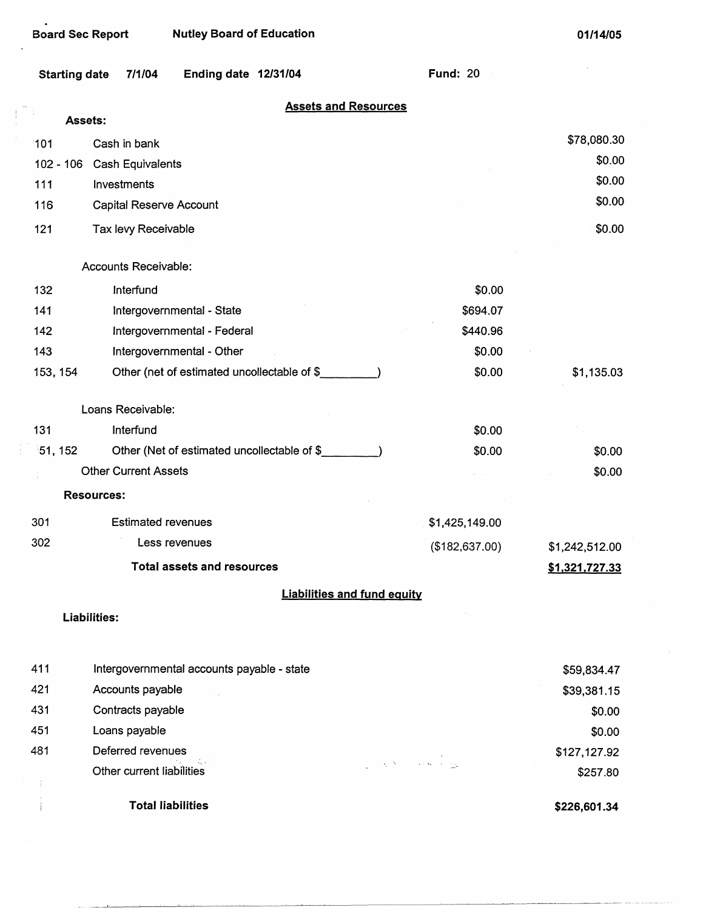$\bullet$ 

 $\pm$   $\pm$ 

**01/14/05** 

 $\hat{\mathcal{A}}$ 

| Starting date | 7/1/04 | Ending date 12/31/04 |  |
|---------------|--------|----------------------|--|
|               |        |                      |  |

**Fund:** 20

| <b>Assets and Resources</b> |  |  |
|-----------------------------|--|--|
|                             |  |  |

|             | <b>Assets:</b>                              |                                                                                                                                                        |                |
|-------------|---------------------------------------------|--------------------------------------------------------------------------------------------------------------------------------------------------------|----------------|
| 101         | Cash in bank                                |                                                                                                                                                        | \$78,080.30    |
| $102 - 106$ | Cash Equivalents                            |                                                                                                                                                        | \$0.00         |
| 111         | Investments                                 |                                                                                                                                                        | \$0.00         |
| 116         | Capital Reserve Account                     |                                                                                                                                                        | \$0.00         |
| 121         | Tax levy Receivable                         |                                                                                                                                                        | \$0.00         |
|             | Accounts Receivable:                        |                                                                                                                                                        |                |
| 132         | Interfund                                   | \$0.00                                                                                                                                                 |                |
| 141         | Intergovernmental - State                   | \$694.07                                                                                                                                               |                |
| 142         | Intergovernmental - Federal                 | \$440.96                                                                                                                                               |                |
| 143         | Intergovernmental - Other                   | \$0.00                                                                                                                                                 |                |
| 153, 154    | Other (net of estimated uncollectable of \$ | \$0.00                                                                                                                                                 | \$1,135.03     |
|             | Loans Receivable:                           |                                                                                                                                                        |                |
| 131         | Interfund                                   | \$0.00                                                                                                                                                 |                |
| 51, 152     | Other (Net of estimated uncollectable of \$ | \$0.00                                                                                                                                                 | \$0.00         |
|             | <b>Other Current Assets</b>                 |                                                                                                                                                        | \$0.00         |
|             | <b>Resources:</b>                           |                                                                                                                                                        |                |
| 301         | <b>Estimated revenues</b>                   | \$1,425,149.00                                                                                                                                         |                |
| 302         | Less revenues                               | (\$182,637.00)                                                                                                                                         | \$1,242,512.00 |
|             | <b>Total assets and resources</b>           |                                                                                                                                                        | \$1,321,727.33 |
|             |                                             | <b>Liabilities and fund equity</b>                                                                                                                     |                |
|             | Liabilities:                                |                                                                                                                                                        |                |
| 411         | Intergovernmental accounts payable - state  |                                                                                                                                                        | \$59,834.47    |
| 421         | Accounts payable                            |                                                                                                                                                        | \$39,381.15    |
| 431         | Contracts payable                           |                                                                                                                                                        | \$0.00         |
| 451         | Loans payable                               |                                                                                                                                                        | \$0.00         |
| 481         | Deferred revenues                           |                                                                                                                                                        | \$127,127.92   |
|             | Other current liabilities                   | المنافعة المنافعة المنافعة المنافعة.<br>منافعة المنافعة المنافعة المنافعة المنافعة المنافعة المنافعة المنافعة المنافعة المنافعة المنافعة المنافعة المن | \$257.80       |
|             | <b>Total liabilities</b>                    |                                                                                                                                                        | \$226,601.34   |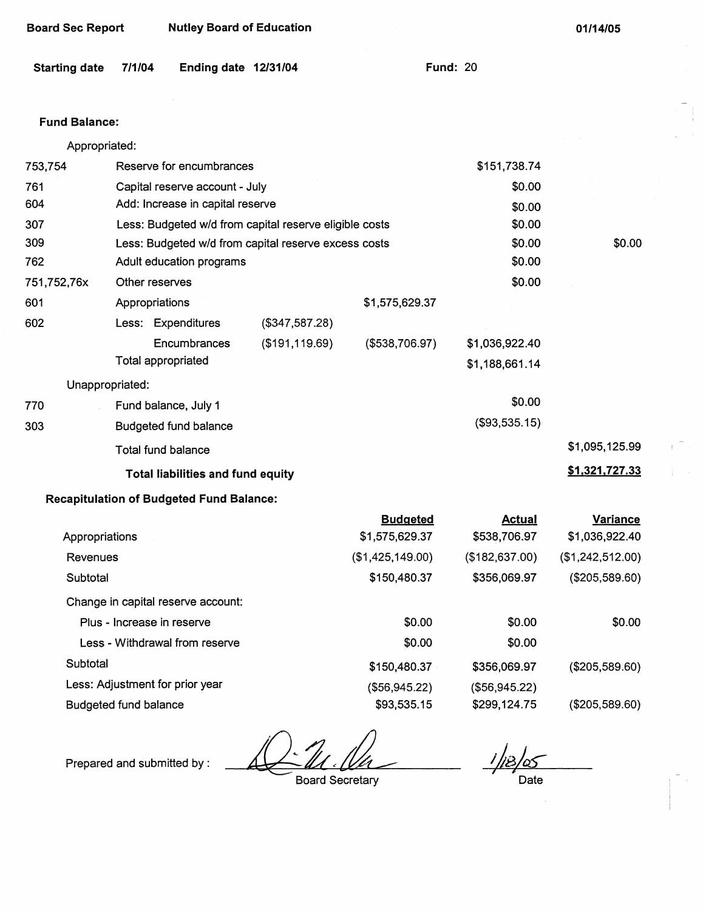| <b>Board Sec Report</b> |                            | <b>Nutley Board of Education</b>                |                                                        |                  | 01/14/05        |                  |
|-------------------------|----------------------------|-------------------------------------------------|--------------------------------------------------------|------------------|-----------------|------------------|
| <b>Starting date</b>    | 7/1/04                     | Ending date 12/31/04                            |                                                        |                  | <b>Fund: 20</b> |                  |
| <b>Fund Balance:</b>    |                            |                                                 |                                                        |                  |                 |                  |
| Appropriated:           |                            |                                                 |                                                        |                  |                 |                  |
| 753,754                 |                            | Reserve for encumbrances                        |                                                        |                  | \$151,738.74    |                  |
| 761                     |                            | Capital reserve account - July                  |                                                        |                  | \$0.00          |                  |
| 604                     |                            | Add: Increase in capital reserve                |                                                        |                  | \$0.00          |                  |
| 307                     |                            |                                                 | Less: Budgeted w/d from capital reserve eligible costs |                  | \$0.00          |                  |
| 309                     |                            |                                                 | Less: Budgeted w/d from capital reserve excess costs   |                  | \$0.00          | \$0.00           |
| 762                     |                            | Adult education programs                        |                                                        |                  | \$0.00          |                  |
| 751,752,76x             | Other reserves             |                                                 |                                                        |                  | \$0.00          |                  |
| 601                     | Appropriations             |                                                 |                                                        | \$1,575,629.37   |                 |                  |
| 602                     |                            | Less: Expenditures                              | (\$347,587.28)                                         |                  |                 |                  |
|                         |                            | Encumbrances                                    | (\$191, 119.69)                                        | (\$538,706.97)   | \$1,036,922.40  |                  |
|                         |                            | Total appropriated                              |                                                        |                  | \$1,188,661.14  |                  |
| Unappropriated:         |                            |                                                 |                                                        |                  |                 |                  |
| 770                     |                            | Fund balance, July 1                            |                                                        |                  | \$0.00          |                  |
| 303                     |                            | <b>Budgeted fund balance</b>                    |                                                        |                  | (\$93,535.15)   |                  |
|                         |                            | <b>Total fund balance</b>                       |                                                        |                  |                 | \$1,095,125.99   |
|                         |                            | Total liabilities and fund equity               |                                                        |                  |                 | \$1,321,727.33   |
|                         |                            | <b>Recapitulation of Budgeted Fund Balance:</b> |                                                        |                  |                 |                  |
|                         |                            |                                                 |                                                        | <b>Budgeted</b>  | <b>Actual</b>   | <b>Variance</b>  |
| Appropriations          |                            |                                                 |                                                        | \$1,575,629.37   | \$538,706.97    | \$1,036,922.40   |
| Revenues                |                            |                                                 |                                                        | (\$1,425,149.00) | (\$182,637.00)  | (\$1,242,512.00) |
| Subtotal                |                            |                                                 |                                                        | \$150,480.37     | \$356,069.97    | (\$205,589.60)   |
|                         |                            | Change in capital reserve account:              |                                                        |                  |                 |                  |
|                         | Plus - Increase in reserve |                                                 |                                                        | \$0.00           | \$0.00          | \$0.00           |
|                         |                            | Less - Withdrawal from reserve                  |                                                        | \$0.00           | \$0.00          |                  |
| Subtotal                |                            |                                                 |                                                        | \$150,480.37     | \$356,069.97    | (\$205,589.60)   |
|                         |                            | Less: Adjustment for prior year                 |                                                        | (\$56,945.22)    | (\$56,945.22)   |                  |

Budgeted fund balance \$93,535.15

Prepared and submitted by :

Board Secretary

*ihBI~ 1* , Date

\$299,124.75

(\$205,589.60)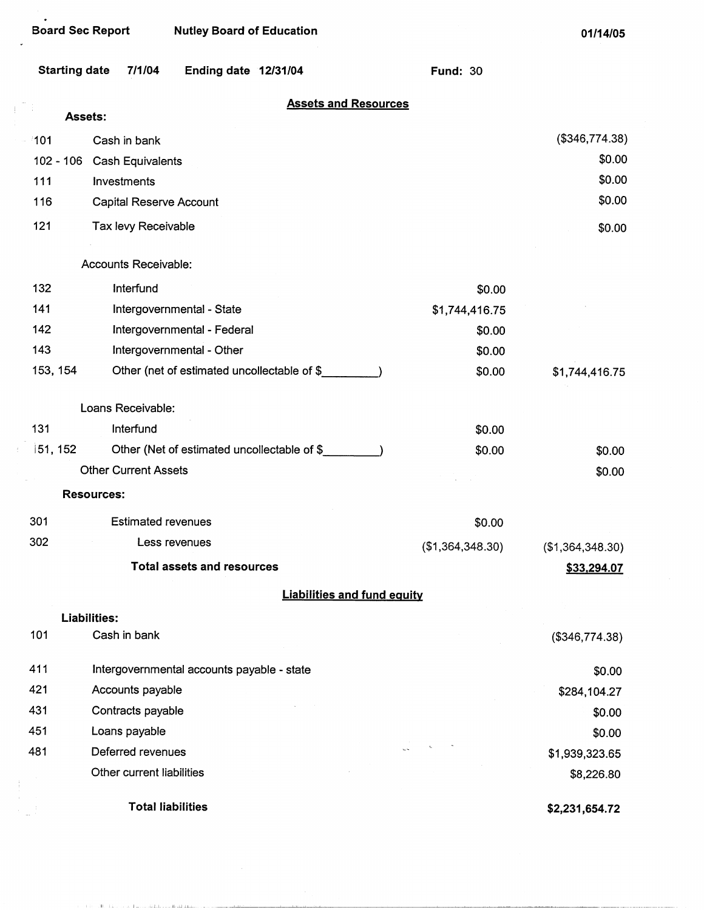$\alpha=0.5$  . The following the modelling condition in the second

J.

 $\pm$ 

 $\mathcal{A}$ 

**01/14/05** 

| <b>Starting date</b> | 7/1/04<br>Ending date 12/31/04              | <b>Fund: 30</b>  |                  |
|----------------------|---------------------------------------------|------------------|------------------|
| Assets:              | <b>Assets and Resources</b>                 |                  |                  |
| ា01                  | Cash in bank                                |                  | (\$346,774.38)   |
| $102 - 106$          | Cash Equivalents                            |                  | \$0.00           |
| 111                  | Investments                                 |                  | \$0.00           |
| 116                  | <b>Capital Reserve Account</b>              |                  | \$0.00           |
| 121                  | Tax levy Receivable                         |                  | \$0.00           |
|                      | Accounts Receivable:                        |                  |                  |
| 132                  | Interfund                                   | \$0.00           |                  |
| 141                  | Intergovernmental - State                   | \$1,744,416.75   |                  |
| 142                  | Intergovernmental - Federal                 | \$0.00           |                  |
| 143                  | Intergovernmental - Other                   | \$0.00           |                  |
| 153, 154             | Other (net of estimated uncollectable of \$ | \$0.00           | \$1,744,416.75   |
|                      | Loans Receivable:                           |                  |                  |
| 131                  | Interfund                                   | \$0.00           |                  |
| 151, 152             | Other (Net of estimated uncollectable of \$ | \$0.00           | \$0.00           |
|                      | <b>Other Current Assets</b>                 |                  | \$0.00           |
|                      | <b>Resources:</b>                           |                  |                  |
| 301                  | <b>Estimated revenues</b>                   | \$0.00           |                  |
| 302                  | Less revenues                               | (\$1,364,348.30) | (\$1,364,348.30) |
|                      | <b>Total assets and resources</b>           |                  | \$33,294.07      |
|                      | <b>Liabilities and fund equity</b>          |                  |                  |
|                      | <b>Liabilities:</b>                         |                  |                  |
| 101                  | Cash in bank                                |                  | (\$346,774.38)   |
| 411                  | Intergovernmental accounts payable - state  |                  | \$0.00           |
| 421                  | Accounts payable                            |                  | \$284,104.27     |
| 431                  | Contracts payable                           |                  | \$0.00           |
| 451                  | Loans payable                               |                  | \$0.00           |
| 481                  | Deferred revenues                           |                  | \$1,939,323.65   |
|                      | Other current liabilities                   |                  | \$8,226.80       |
|                      | <b>Total liabilities</b>                    |                  | \$2,231,654.72   |

الشائب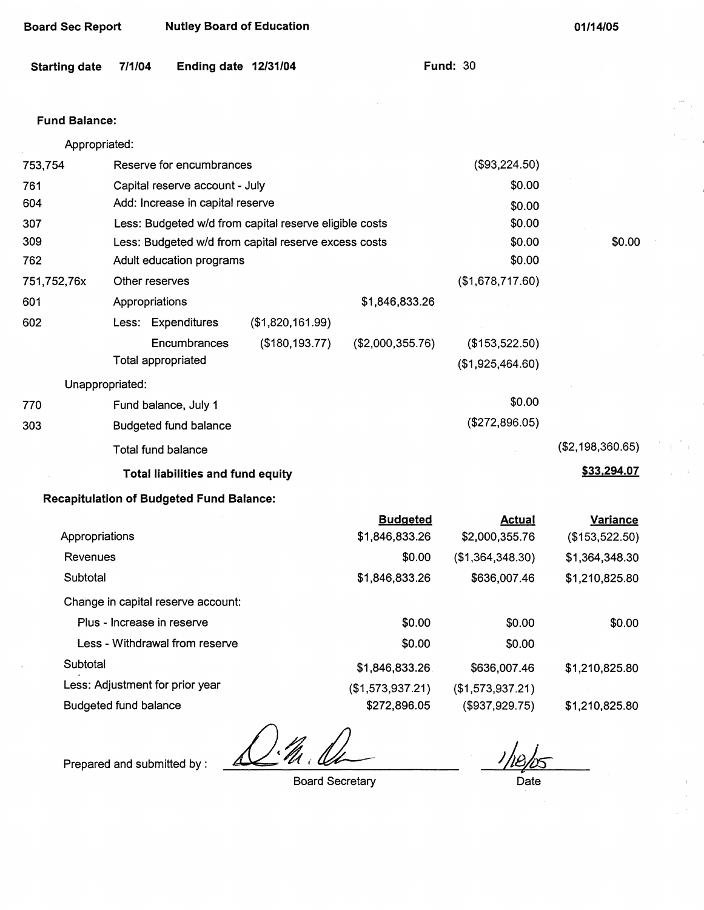| Board Sec Report | <b>Nutley Board of Education</b> |
|------------------|----------------------------------|
|------------------|----------------------------------|

| <b>Starting date</b> | 7/1/04 | Ending date 12/31/04 |  |  |
|----------------------|--------|----------------------|--|--|
|----------------------|--------|----------------------|--|--|

**Fund: 30** 

#### **Fund Balance:**

| Appropriated:                   |                                                        |                  |                  |                  |                  |
|---------------------------------|--------------------------------------------------------|------------------|------------------|------------------|------------------|
| 753,754                         | Reserve for encumbrances                               |                  |                  | (\$93,224.50)    |                  |
| 761                             | Capital reserve account - July                         |                  |                  | \$0.00           |                  |
| 604                             | Add: Increase in capital reserve                       |                  |                  | \$0.00           |                  |
| 307                             | Less: Budgeted w/d from capital reserve eligible costs |                  |                  | \$0.00           |                  |
| 309                             | Less: Budgeted w/d from capital reserve excess costs   |                  |                  | \$0.00           | \$0.00           |
| 762                             | Adult education programs                               |                  |                  | \$0.00           |                  |
| 751,752,76x                     | Other reserves                                         |                  |                  | (\$1,678,717.60) |                  |
| 601                             | Appropriations                                         |                  | \$1,846,833.26   |                  |                  |
| 602                             | Less: Expenditures                                     | (\$1,820,161.99) |                  |                  |                  |
|                                 | Encumbrances                                           | (\$180, 193.77)  | (\$2,000,355.76) | (\$153,522.50)   |                  |
|                                 | <b>Total appropriated</b>                              |                  |                  | (\$1,925,464.60) |                  |
|                                 | Unappropriated:                                        |                  |                  |                  |                  |
| 770                             | Fund balance, July 1                                   |                  |                  | \$0.00           |                  |
| 303                             | <b>Budgeted fund balance</b>                           |                  |                  | (\$272,896.05)   |                  |
|                                 | <b>Total fund balance</b>                              |                  |                  |                  | (\$2,198,360.65) |
|                                 | <b>Total liabilities and fund equity</b>               |                  |                  |                  | \$33,294.07      |
|                                 | <b>Recapitulation of Budgeted Fund Balance:</b>        |                  |                  |                  |                  |
|                                 |                                                        |                  | <b>Budgeted</b>  | <b>Actual</b>    | <b>Variance</b>  |
| Appropriations                  |                                                        |                  | \$1,846,833.26   | \$2,000,355.76   | (\$153,522.50)   |
| Revenues                        |                                                        |                  | \$0.00           | (\$1,364,348.30) | \$1,364,348.30   |
| Subtotal                        |                                                        |                  | \$1,846,833.26   | \$636,007.46     | \$1,210,825.80   |
|                                 | Change in capital reserve account:                     |                  |                  |                  |                  |
|                                 | Plus - Increase in reserve                             |                  | \$0.00           | \$0.00           | \$0.00           |
|                                 | Less - Withdrawal from reserve                         |                  | \$0.00           | \$0.00           |                  |
| Subtotal                        |                                                        |                  | \$1,846,833.26   | \$636,007.46     | \$1,210,825.80   |
| Less: Adjustment for prior year |                                                        |                  | (\$1,573,937.21) | (\$1,573,937.21) |                  |

Budgeted fund balance

 $\frac{\partial}{\partial \theta}$  $\boldsymbol{\varDelta}$ 

Prepared and submitted by :

Board Secretary

\$1,210,825.80

(\$937,929.75}

Date

\$272,896.05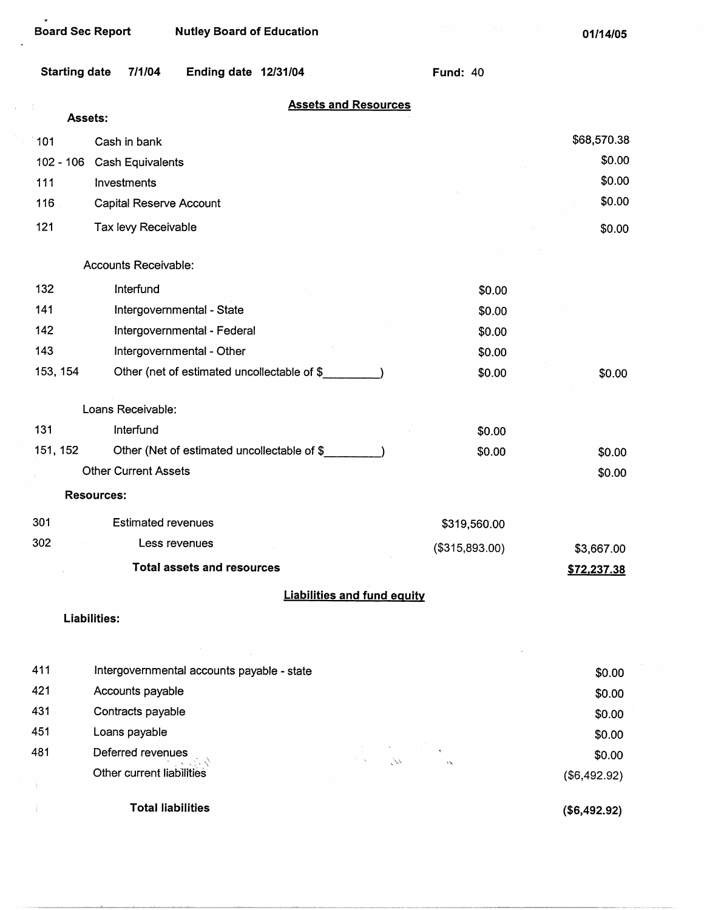$\bar{1}$ 

| <b>Board Sec Report</b> | <b>Nutley Board of Education</b>            |                 | 01/14/05    |
|-------------------------|---------------------------------------------|-----------------|-------------|
| <b>Starting date</b>    | 7/1/04<br>Ending date 12/31/04              | <b>Fund: 40</b> |             |
| Assets:                 | <b>Assets and Resources</b>                 |                 |             |
| 101                     | Cash in bank                                |                 | \$68,570.38 |
| $102 - 106$             | <b>Cash Equivalents</b>                     |                 | \$0.00      |
| 111                     | Investments                                 |                 | \$0.00      |
| 116                     | Capital Reserve Account                     |                 | \$0.00      |
| 121                     | Tax levy Receivable                         |                 | \$0.00      |
|                         |                                             |                 |             |
|                         | Accounts Receivable:                        |                 |             |
| 132                     | Interfund                                   | \$0.00          |             |
| 141                     | Intergovernmental - State                   | \$0.00          |             |
| 142                     | Intergovernmental - Federal                 | \$0.00          |             |
| 143                     | Intergovernmental - Other                   | \$0.00          |             |
| 153, 154                | Other (net of estimated uncollectable of \$ | \$0.00          | \$0.00      |
|                         | Loans Receivable:                           |                 |             |
| 131                     | Interfund                                   | \$0.00          |             |
| 151, 152                | Other (Net of estimated uncollectable of \$ | \$0.00          | \$0.00      |
|                         | <b>Other Current Assets</b>                 |                 | \$0.00      |
|                         | <b>Resources:</b>                           |                 |             |
| 301                     | <b>Estimated revenues</b>                   | \$319,560.00    |             |
| 302                     | Less revenues                               | (\$315,893.00)  | \$3,667.00  |
|                         | <b>Total assets and resources</b>           |                 | \$72,237.38 |
|                         | <b>Liabilities and fund equity</b>          |                 |             |
|                         | Liabilities:                                |                 |             |
|                         |                                             |                 |             |
| 411                     | Intergovernmental accounts payable - state  |                 | \$0.00      |
| 421                     | Accounts payable                            |                 | \$0.00      |
| 431                     | Contracts payable                           |                 | \$0.00      |
| 451                     | Loans payable                               |                 | \$0.00      |

 $\chi^2$ 481 Deferred revenues - .... :.·. ,~, <. ,,.:~  $\hat{\mathbf{v}}$ Other current liabllities  $\mathbf{1}$ 

**Total liabilities** 

 $\mathbb{L}$ 

**(\$6,492.92)** 

(\$6,492.92)

\$0.00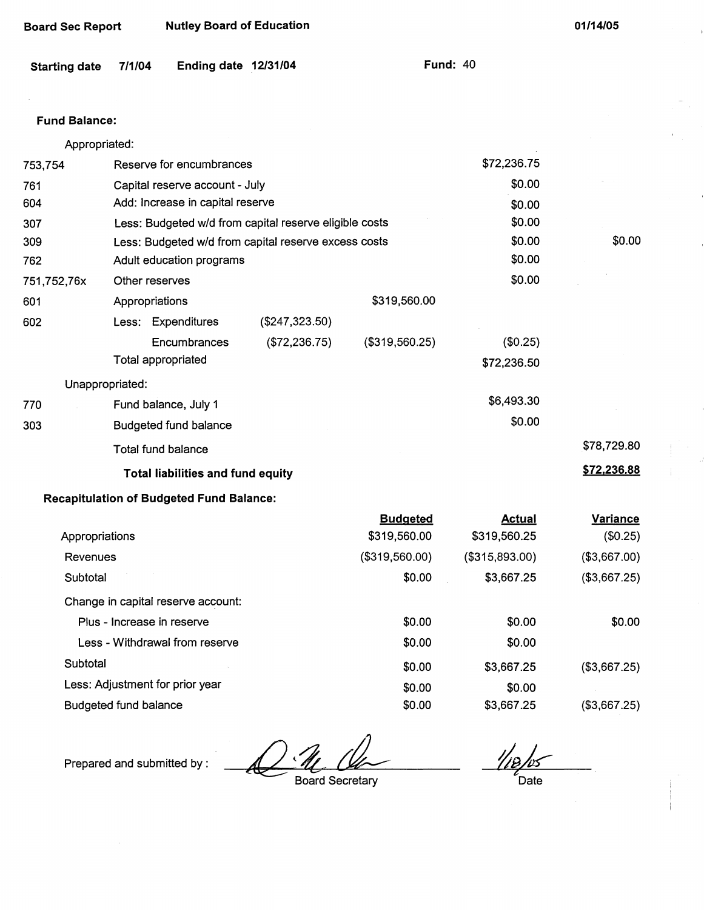| Board Sec Report | <b>Nutley Board of Education</b> |
|------------------|----------------------------------|
|------------------|----------------------------------|

| Starting date 7/1/04 |  | Ending date 12/31/04 |  | <b>Fund: 40</b> |  |
|----------------------|--|----------------------|--|-----------------|--|
|----------------------|--|----------------------|--|-----------------|--|

#### Fund **Balance:**

|             | Appropriated:              |                                                 |                                                        |                 |                |              |
|-------------|----------------------------|-------------------------------------------------|--------------------------------------------------------|-----------------|----------------|--------------|
| 753,754     |                            | Reserve for encumbrances                        |                                                        | \$72,236.75     |                |              |
| 761         |                            | Capital reserve account - July                  |                                                        |                 | \$0.00         |              |
| 604         |                            | Add: Increase in capital reserve                |                                                        |                 | \$0.00         |              |
| 307         |                            |                                                 | Less: Budgeted w/d from capital reserve eligible costs |                 | \$0.00         |              |
| 309         |                            |                                                 | Less: Budgeted w/d from capital reserve excess costs   |                 | \$0.00         | \$0.00       |
| 762         |                            | Adult education programs                        |                                                        |                 | \$0.00         |              |
| 751,752,76x |                            | Other reserves                                  |                                                        |                 | \$0.00         |              |
| 601         |                            | Appropriations                                  |                                                        | \$319,560.00    |                |              |
| 602         |                            | Less: Expenditures                              | (\$247,323.50)                                         |                 |                |              |
|             |                            | Encumbrances                                    | (\$72,236.75)                                          | (\$319,560.25)  | (\$0.25)       |              |
|             |                            | Total appropriated                              |                                                        |                 | \$72,236.50    |              |
|             | Unappropriated:            |                                                 |                                                        |                 |                |              |
| 770         |                            | Fund balance, July 1                            |                                                        |                 | \$6,493.30     |              |
| 303         |                            | <b>Budgeted fund balance</b>                    |                                                        |                 | \$0.00         |              |
|             |                            | <b>Total fund balance</b>                       |                                                        |                 |                | \$78,729.80  |
|             |                            | Total liabilities and fund equity               |                                                        |                 |                | \$72,236.88  |
|             |                            | <b>Recapitulation of Budgeted Fund Balance:</b> |                                                        |                 |                |              |
|             |                            |                                                 |                                                        | <b>Budgeted</b> | <b>Actual</b>  | Variance     |
|             | Appropriations             |                                                 |                                                        | \$319,560.00    | \$319,560.25   | (\$0.25)     |
|             | Revenues                   |                                                 |                                                        | (\$319,560.00)  | (\$315,893.00) | (\$3,667.00) |
|             | Subtotal                   |                                                 |                                                        | \$0.00          | \$3,667.25     | (\$3,667.25) |
|             |                            | Change in capital reserve account:              |                                                        |                 |                |              |
|             | Plus - Increase in reserve |                                                 |                                                        | \$0.00          | \$0.00         | \$0.00       |
|             |                            | Less - Withdrawal from reserve                  |                                                        | \$0.00          | \$0.00         |              |
|             | Subtotal                   |                                                 |                                                        | \$0.00          | \$3,667.25     | (\$3,667.25) |

**Subtotal** 

Less: Adjustment for prior year

Budgeted fund balance

Prepared and submitted by :

 $\frac{1}{2}$ *t*  Date

(\$3,667.25)

(\$3,667.25}

Board Secretary

\$0.00 \$0.00

\$3,667.25 \$0.00 \$3,667.25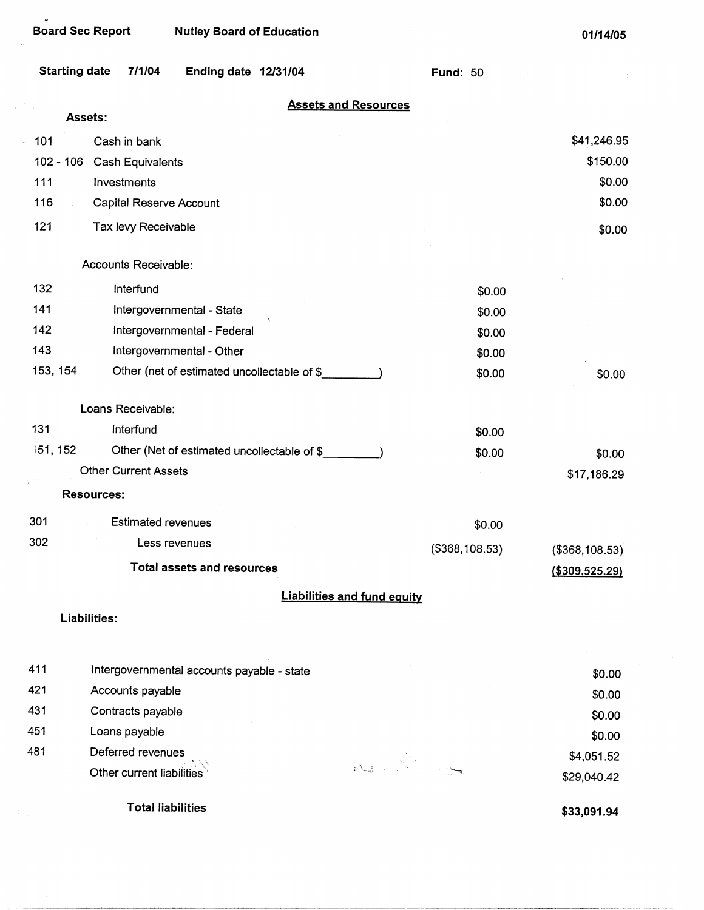| <b>Starting date</b><br>7/1/04         | Ending date 12/31/04                        | <b>Fund: 50</b> |                           |
|----------------------------------------|---------------------------------------------|-----------------|---------------------------|
|                                        | <b>Assets and Resources</b>                 |                 |                           |
| Assets:                                |                                             |                 |                           |
| 101<br>Cash in bank                    |                                             |                 | \$41,246.95               |
| $102 - 106$<br><b>Cash Equivalents</b> |                                             |                 | \$150.00                  |
| 111<br>Investments                     |                                             |                 | \$0.00                    |
| 116<br>Capital Reserve Account         |                                             |                 | \$0.00                    |
| 121<br>Tax levy Receivable             |                                             |                 | \$0.00                    |
| Accounts Receivable:                   |                                             |                 |                           |
| 132<br>Interfund                       |                                             | \$0.00          |                           |
| 141<br>Intergovernmental - State       |                                             | \$0.00          |                           |
| 142                                    | Intergovernmental - Federal                 | \$0.00          |                           |
| 143<br>Intergovernmental - Other       |                                             | \$0.00          |                           |
| 153, 154                               | Other (net of estimated uncollectable of \$ | \$0.00          | \$0.00                    |
| Loans Receivable:                      |                                             |                 |                           |
| 131<br>Interfund                       |                                             | \$0.00          |                           |
| 151, 152                               | Other (Net of estimated uncollectable of \$ | \$0.00          | \$0.00                    |
| <b>Other Current Assets</b>            |                                             |                 | \$17,186.29               |
| <b>Resources:</b>                      |                                             |                 |                           |
| 301<br><b>Estimated revenues</b>       |                                             | \$0.00          |                           |
| 302<br>Less revenues                   |                                             | (\$368,108.53)  | (\$368,108.53)            |
|                                        | <b>Total assets and resources</b>           |                 | ( \$309, 525.29)          |
|                                        | <b>Liabilities and fund equity</b>          |                 |                           |
| Liabilities:                           |                                             |                 |                           |
| 411                                    | Intergovernmental accounts payable - state  |                 |                           |
| 421<br>Accounts payable                |                                             |                 | \$0.00                    |
| 431<br>Contracts payable               |                                             |                 | \$0.00                    |
| 451<br>Loans payable                   |                                             |                 | \$0.00                    |
| 481<br>Deferred revenues               |                                             |                 | \$0.00                    |
| Other current liabilities              |                                             |                 | \$4,051.52<br>\$29,040.42 |
|                                        |                                             |                 |                           |

**Total liabilities** 

**\$33,091.94**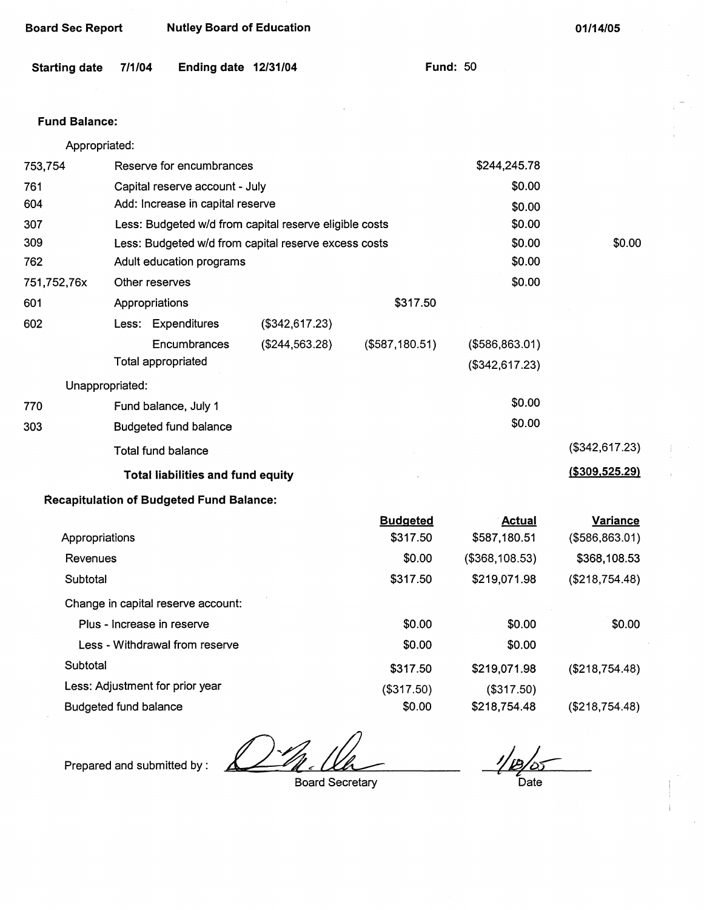| <b>Nutley Board of Education</b> |  | <b>Board Sec Report</b> |  |  |  |  |
|----------------------------------|--|-------------------------|--|--|--|--|
|----------------------------------|--|-------------------------|--|--|--|--|

| <b>Starting date</b> | 7/1/04 | Ending date 12/31/04 |  |  |
|----------------------|--------|----------------------|--|--|
|----------------------|--------|----------------------|--|--|

**Fund: 50** 

## **Fund Balance:**

|                | Appropriated:                                          |                |                 |                 |                 |
|----------------|--------------------------------------------------------|----------------|-----------------|-----------------|-----------------|
| 753,754        | Reserve for encumbrances                               |                |                 | \$244,245.78    |                 |
| 761            | Capital reserve account - July                         |                |                 | \$0.00          |                 |
| 604            | Add: Increase in capital reserve                       |                |                 | \$0.00          |                 |
| 307            | Less: Budgeted w/d from capital reserve eligible costs |                |                 | \$0.00          |                 |
| 309            | Less: Budgeted w/d from capital reserve excess costs   |                |                 | \$0.00          | \$0.00          |
| 762            | Adult education programs                               |                |                 | \$0.00          |                 |
| 751,752,76x    | Other reserves                                         |                |                 | \$0.00          |                 |
| 601            | Appropriations                                         |                | \$317.50        |                 |                 |
| 602            | Less: Expenditures                                     | (\$342,617.23) |                 |                 |                 |
|                | Encumbrances                                           | (\$244,563.28) | (\$587,180.51)  | (\$586, 863.01) |                 |
|                | <b>Total appropriated</b>                              |                |                 | (\$342,617.23)  |                 |
|                | Unappropriated:                                        |                |                 |                 |                 |
| 770            | Fund balance, July 1                                   |                |                 | \$0.00          |                 |
| 303            | <b>Budgeted fund balance</b>                           |                |                 | \$0.00          |                 |
|                | <b>Total fund balance</b>                              |                |                 |                 | (\$342,617.23)  |
|                | <b>Total liabilities and fund equity</b>               |                |                 |                 | (\$309,525.29)  |
|                | <b>Recapitulation of Budgeted Fund Balance:</b>        |                |                 |                 |                 |
|                |                                                        |                | <b>Budgeted</b> | <b>Actual</b>   | <b>Variance</b> |
| Appropriations |                                                        |                | \$317.50        | \$587,180.51    | (\$586, 863.01) |
| Revenues       |                                                        |                | \$0.00          | (\$368,108.53)  | \$368,108.53    |
| Subtotal       |                                                        |                | \$317.50        | \$219,071.98    | (\$218,754.48)  |
|                | Change in capital reserve account:                     |                |                 |                 |                 |
|                | Plus - Increase in reserve                             |                | \$0.00          | \$0.00          | \$0.00          |
|                | Less - Withdrawal from reserve                         |                | \$0.00          | \$0.00          |                 |
| Subtotal       |                                                        |                | \$317.50        | \$219,071.98    | (\$218,754.48)  |
|                | Less: Adjustment for prior year                        |                | (\$317.50)      | (\$317.50)      |                 |
|                | <b>Budgeted fund balance</b>                           |                | \$0.00          | \$218,754.48    | (\$218,754.48)  |

Prepared and submitted by :

! [B] **Date** 

Board Secretary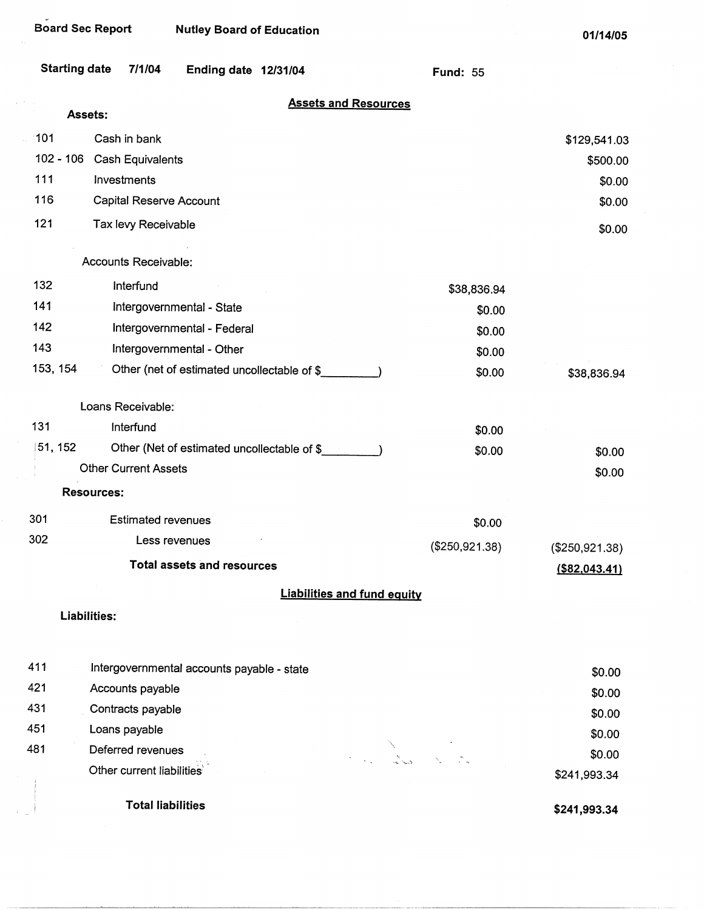| <b>Starting date</b> | 7/1/04                                     | Ending date 12/31/04                        |                                    | <b>Fund: 55</b> |                  |
|----------------------|--------------------------------------------|---------------------------------------------|------------------------------------|-----------------|------------------|
| Assets:              |                                            |                                             | <b>Assets and Resources</b>        |                 |                  |
| 101                  | Cash in bank                               |                                             |                                    |                 |                  |
| $102 - 106$          | Cash Equivalents                           |                                             |                                    |                 | \$129,541.03     |
| 111                  | Investments                                |                                             |                                    |                 | \$500.00         |
| 116                  | Capital Reserve Account                    |                                             |                                    |                 | \$0.00           |
| 121                  | Tax levy Receivable                        |                                             |                                    |                 | \$0.00<br>\$0.00 |
|                      |                                            |                                             |                                    |                 |                  |
|                      | Accounts Receivable:                       |                                             |                                    |                 |                  |
| 132                  | Interfund                                  |                                             |                                    | \$38,836.94     |                  |
| 141                  |                                            | Intergovernmental - State                   |                                    | \$0.00          |                  |
| 142                  |                                            | Intergovernmental - Federal                 |                                    | \$0.00          |                  |
| 143                  |                                            | Intergovernmental - Other                   |                                    | \$0.00          |                  |
| 153, 154             |                                            | Other (net of estimated uncollectable of \$ |                                    | \$0.00          | \$38,836.94      |
|                      | Loans Receivable:                          |                                             |                                    |                 |                  |
| 131                  | Interfund                                  |                                             |                                    | \$0.00          |                  |
| 51, 152              |                                            | Other (Net of estimated uncollectable of \$ |                                    | \$0.00          | \$0.00           |
|                      | <b>Other Current Assets</b>                |                                             |                                    |                 | \$0.00           |
|                      | <b>Resources:</b>                          |                                             |                                    |                 |                  |
| 301                  | <b>Estimated revenues</b>                  |                                             |                                    | \$0.00          |                  |
| 302                  | Less revenues                              |                                             |                                    | (\$250,921.38)  | (\$250,921.38)   |
|                      |                                            | <b>Total assets and resources</b>           |                                    |                 | $($ \$82,043.41) |
|                      |                                            |                                             | <b>Liabilities and fund equity</b> |                 |                  |
|                      | Liabilities:                               |                                             |                                    |                 |                  |
| 411                  | Intergovernmental accounts payable - state |                                             |                                    |                 |                  |
| 421                  | Accounts payable                           |                                             |                                    |                 | \$0.00           |
| 431                  | Contracts payable                          |                                             |                                    |                 | \$0.00           |
| 451                  | Loans payable                              |                                             |                                    |                 | \$0.00           |
| 481                  | Deferred revenues                          |                                             |                                    |                 | \$0.00           |
|                      | Other current liabilities                  |                                             | Red Barbara                        |                 | \$0.00           |
|                      |                                            |                                             |                                    |                 | \$241,993.34     |

Total liabilities

 $\frac{1}{2}$ 

**\$241,993.34**